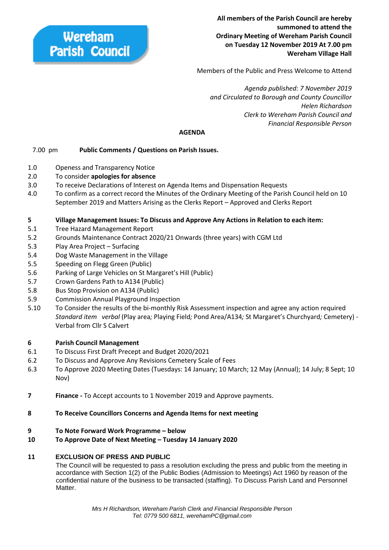

**All members of the Parish Council are hereby summoned to attend the Ordinary Meeting of Wereham Parish Council on Tuesday 12 November 2019 At 7.00 pm Wereham Village Hall**

Members of the Public and Press Welcome to Attend

 *Agenda published: 7 November 2019 and Circulated to Borough and County Councillor Helen Richardson Clerk to Wereham Parish Council and Financial Responsible Person*

## **AGENDA**

## 7.00 pm **Public Comments / Questions on Parish Issues.**

- 1.0 Openess and Transparency Notice
- 2.0 To consider **apologies for absence**
- 3.0 To receive Declarations of Interest on Agenda Items and Dispensation Requests
- 4.0 To confirm as a correct record the Minutes of the Ordinary Meeting of the Parish Council held on 10 September 2019 and Matters Arising as the Clerks Report – Approved and Clerks Report

### **5 Village Management Issues: To Discuss and Approve Any Actions in Relation to each item:**

- 5.1 Tree Hazard Management Report
- 5.2 Grounds Maintenance Contract 2020/21 Onwards (three years) with CGM Ltd
- 5.3 Play Area Project Surfacing
- 5.4 Dog Waste Management in the Village
- 5.5 Speeding on Flegg Green (Public)
- 5.6 Parking of Large Vehicles on St Margaret's Hill (Public)
- 5.7 Crown Gardens Path to A134 (Public)
- 5.8 Bus Stop Provision on A134 (Public)
- 5.9 Commission Annual Playground Inspection
- 5.10 To Consider the results of the bi-monthly Risk Assessment inspection and agree any action required *Standard item verbal* (Play area*;* Playing Field*;* Pond Area/A134*;* St Margaret's Churchyard*;* Cemetery) - Verbal from Cllr S Calvert

## **6 Parish Council Management**

- 6.1 To Discuss First Draft Precept and Budget 2020/2021
- 6.2 To Discuss and Approve Any Revisions Cemetery Scale of Fees
- 6.3 To Approve 2020 Meeting Dates (Tuesdays: 14 January; 10 March; 12 May (Annual); 14 July; 8 Sept; 10 Nov)
- **7 Finance -** To Accept accounts to 1 November 2019 and Approve payments.

#### **8 To Receive Councillors Concerns and Agenda Items for next meeting**

#### **9 To Note Forward Work Programme – below**

## **10 To Approve Date of Next Meeting – Tuesday 14 January 2020**

## **11 EXCLUSION OF PRESS AND PUBLIC**

The Council will be requested to pass a resolution excluding the press and public from the meeting in accordance with Section 1(2) of the Public Bodies (Admission to Meetings) Act 1960 by reason of the confidential nature of the business to be transacted (staffing). To Discuss Parish Land and Personnel Matter.